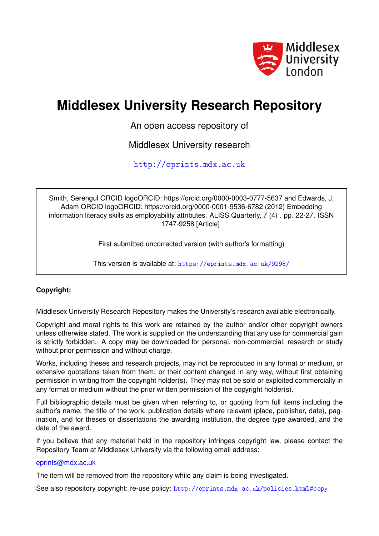

# **Middlesex University Research Repository**

An open access repository of

Middlesex University research

<http://eprints.mdx.ac.uk>

Smith, Serengul ORCID logoORCID: https://orcid.org/0000-0003-0777-5637 and Edwards, J. Adam ORCID logoORCID: https://orcid.org/0000-0001-9536-6782 (2012) Embedding information literacy skills as employability attributes. ALISS Quarterly, 7 (4) . pp. 22-27. ISSN 1747-9258 [Article]

First submitted uncorrected version (with author's formatting)

This version is available at: <https://eprints.mdx.ac.uk/9298/>

# **Copyright:**

Middlesex University Research Repository makes the University's research available electronically.

Copyright and moral rights to this work are retained by the author and/or other copyright owners unless otherwise stated. The work is supplied on the understanding that any use for commercial gain is strictly forbidden. A copy may be downloaded for personal, non-commercial, research or study without prior permission and without charge.

Works, including theses and research projects, may not be reproduced in any format or medium, or extensive quotations taken from them, or their content changed in any way, without first obtaining permission in writing from the copyright holder(s). They may not be sold or exploited commercially in any format or medium without the prior written permission of the copyright holder(s).

Full bibliographic details must be given when referring to, or quoting from full items including the author's name, the title of the work, publication details where relevant (place, publisher, date), pagination, and for theses or dissertations the awarding institution, the degree type awarded, and the date of the award.

If you believe that any material held in the repository infringes copyright law, please contact the Repository Team at Middlesex University via the following email address:

## [eprints@mdx.ac.uk](mailto:eprints@mdx.ac.uk)

The item will be removed from the repository while any claim is being investigated.

See also repository copyright: re-use policy: <http://eprints.mdx.ac.uk/policies.html#copy>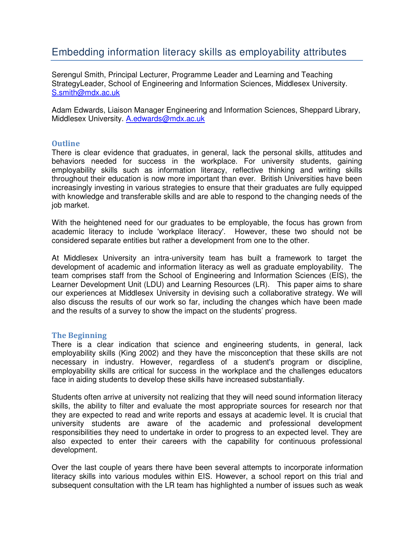# Embedding information literacy skills as employability attributes

Serengul Smith, Principal Lecturer, Programme Leader and Learning and Teaching StrategyLeader, School of Engineering and Information Sciences, Middlesex University. S.smith@mdx.ac.uk

Adam Edwards, Liaison Manager Engineering and Information Sciences, Sheppard Library, Middlesex University. A.edwards@mdx.ac.uk

#### **Outline**

There is clear evidence that graduates, in general, lack the personal skills, attitudes and behaviors needed for success in the workplace. For university students, gaining employability skills such as information literacy, reflective thinking and writing skills throughout their education is now more important than ever. British Universities have been increasingly investing in various strategies to ensure that their graduates are fully equipped with knowledge and transferable skills and are able to respond to the changing needs of the job market.

With the heightened need for our graduates to be employable, the focus has grown from academic literacy to include 'workplace literacy'. However, these two should not be considered separate entities but rather a development from one to the other.

At Middlesex University an intra-university team has built a framework to target the development of academic and information literacy as well as graduate employability. The team comprises staff from the School of Engineering and Information Sciences (EIS), the Learner Development Unit (LDU) and Learning Resources (LR). This paper aims to share our experiences at Middlesex University in devising such a collaborative strategy. We will also discuss the results of our work so far, including the changes which have been made and the results of a survey to show the impact on the students' progress.

#### The Beginning

There is a clear indication that science and engineering students, in general, lack employability skills (King 2002) and they have the misconception that these skills are not necessary in industry. However, regardless of a student's program or discipline, employability skills are critical for success in the workplace and the challenges educators face in aiding students to develop these skills have increased substantially.

Students often arrive at university not realizing that they will need sound information literacy skills, the ability to filter and evaluate the most appropriate sources for research nor that they are expected to read and write reports and essays at academic level. It is crucial that university students are aware of the academic and professional development responsibilities they need to undertake in order to progress to an expected level. They are also expected to enter their careers with the capability for continuous professional development.

Over the last couple of years there have been several attempts to incorporate information literacy skills into various modules within EIS. However, a school report on this trial and subsequent consultation with the LR team has highlighted a number of issues such as weak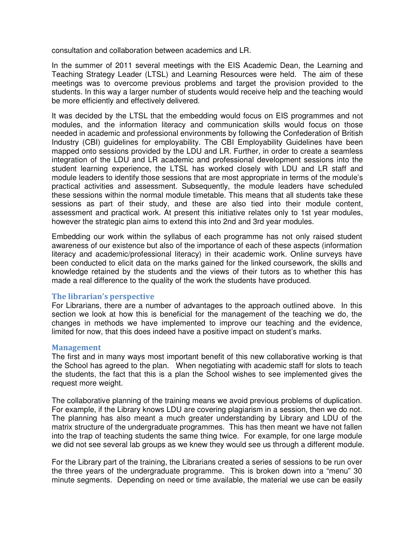consultation and collaboration between academics and LR.

In the summer of 2011 several meetings with the EIS Academic Dean, the Learning and Teaching Strategy Leader (LTSL) and Learning Resources were held. The aim of these meetings was to overcome previous problems and target the provision provided to the students. In this way a larger number of students would receive help and the teaching would be more efficiently and effectively delivered.

It was decided by the LTSL that the embedding would focus on EIS programmes and not modules, and the information literacy and communication skills would focus on those needed in academic and professional environments by following the Confederation of British Industry (CBI) guidelines for employability. The CBI Employability Guidelines have been mapped onto sessions provided by the LDU and LR. Further, in order to create a seamless integration of the LDU and LR academic and professional development sessions into the student learning experience, the LTSL has worked closely with LDU and LR staff and module leaders to identify those sessions that are most appropriate in terms of the module's practical activities and assessment. Subsequently, the module leaders have scheduled these sessions within the normal module timetable. This means that all students take these sessions as part of their study, and these are also tied into their module content, assessment and practical work. At present this initiative relates only to 1st year modules, however the strategic plan aims to extend this into 2nd and 3rd year modules.

Embedding our work within the syllabus of each programme has not only raised student awareness of our existence but also of the importance of each of these aspects (information literacy and academic/professional literacy) in their academic work. Online surveys have been conducted to elicit data on the marks gained for the linked coursework, the skills and knowledge retained by the students and the views of their tutors as to whether this has made a real difference to the quality of the work the students have produced.

## The librarian's perspective

For Librarians, there are a number of advantages to the approach outlined above. In this section we look at how this is beneficial for the management of the teaching we do, the changes in methods we have implemented to improve our teaching and the evidence, limited for now, that this does indeed have a positive impact on student's marks.

## Management

The first and in many ways most important benefit of this new collaborative working is that the School has agreed to the plan. When negotiating with academic staff for slots to teach the students, the fact that this is a plan the School wishes to see implemented gives the request more weight.

The collaborative planning of the training means we avoid previous problems of duplication. For example, if the Library knows LDU are covering plagiarism in a session, then we do not. The planning has also meant a much greater understanding by Library and LDU of the matrix structure of the undergraduate programmes. This has then meant we have not fallen into the trap of teaching students the same thing twice. For example, for one large module we did not see several lab groups as we knew they would see us through a different module.

For the Library part of the training, the Librarians created a series of sessions to be run over the three years of the undergraduate programme. This is broken down into a "menu" 30 minute segments. Depending on need or time available, the material we use can be easily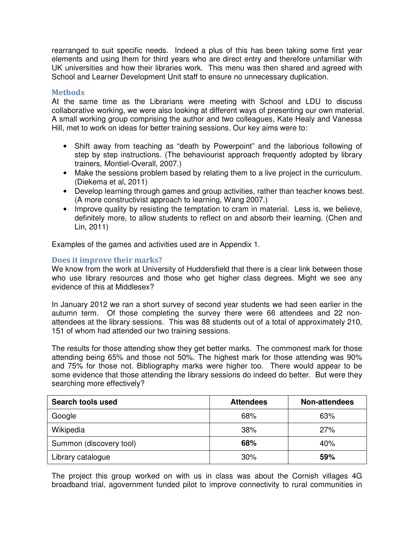rearranged to suit specific needs. Indeed a plus of this has been taking some first year elements and using them for third years who are direct entry and therefore unfamiliar with UK universities and how their libraries work. This menu was then shared and agreed with School and Learner Development Unit staff to ensure no unnecessary duplication.

# **Methods**

At the same time as the Librarians were meeting with School and LDU to discuss collaborative working, we were also looking at different ways of presenting our own material. A small working group comprising the author and two colleagues, Kate Healy and Vanessa Hill, met to work on ideas for better training sessions. Our key aims were to:

- Shift away from teaching as "death by Powerpoint" and the laborious following of step by step instructions. (The behaviourist approach frequently adopted by library trainers, Montiel-Overall, 2007.)
- Make the sessions problem based by relating them to a live project in the curriculum. (Diekema et al, 2011)
- Develop learning through games and group activities, rather than teacher knows best. (A more constructivist approach to learning, Wang 2007.)
- Improve quality by resisting the temptation to cram in material. Less is, we believe, definitely more, to allow students to reflect on and absorb their learning. (Chen and Lin, 2011)

Examples of the games and activities used are in Appendix 1.

# Does it improve their marks?

We know from the work at University of Huddersfield that there is a clear link between those who use library resources and those who get higher class degrees. Might we see any evidence of this at Middlesex?

In January 2012 we ran a short survey of second year students we had seen earlier in the autumn term. Of those completing the survey there were 66 attendees and 22 nonattendees at the library sessions. This was 88 students out of a total of approximately 210, 151 of whom had attended our two training sessions.

The results for those attending show they get better marks. The commonest mark for those attending being 65% and those not 50%. The highest mark for those attending was 90% and 75% for those not. Bibliography marks were higher too. There would appear to be some evidence that those attending the library sessions do indeed do better. But were they searching more effectively?

| <b>Search tools used</b> | <b>Attendees</b> | Non-attendees |
|--------------------------|------------------|---------------|
| Google                   | 68%              | 63%           |
| Wikipedia                | 38%              | 27%           |
| Summon (discovery tool)  | 68%              | 40%           |
| Library catalogue        | 30%              | 59%           |

The project this group worked on with us in class was about the Cornish villages 4G broadband trial, agovernment funded pilot to improve connectivity to rural communities in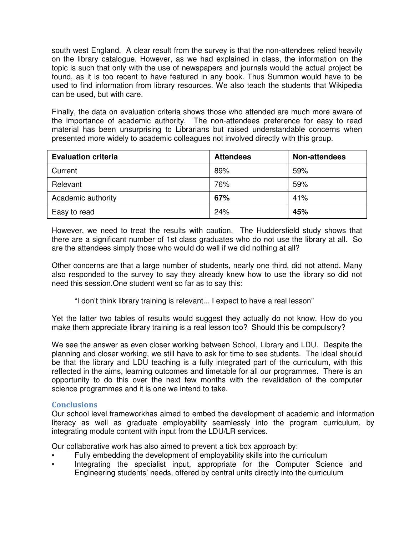south west England. A clear result from the survey is that the non-attendees relied heavily on the library catalogue. However, as we had explained in class, the information on the topic is such that only with the use of newspapers and journals would the actual project be found, as it is too recent to have featured in any book. Thus Summon would have to be used to find information from library resources. We also teach the students that Wikipedia can be used, but with care.

Finally, the data on evaluation criteria shows those who attended are much more aware of the importance of academic authority. The non-attendees preference for easy to read material has been unsurprising to Librarians but raised understandable concerns when presented more widely to academic colleagues not involved directly with this group.

| <b>Evaluation criteria</b> | <b>Attendees</b> | Non-attendees |
|----------------------------|------------------|---------------|
| Current                    | 89%              | 59%           |
| Relevant                   | 76%              | 59%           |
| Academic authority         | 67%              | 41%           |
| Easy to read               | 24%              | 45%           |

However, we need to treat the results with caution. The Huddersfield study shows that there are a significant number of 1st class graduates who do not use the library at all. So are the attendees simply those who would do well if we did nothing at all?

Other concerns are that a large number of students, nearly one third, did not attend. Many also responded to the survey to say they already knew how to use the library so did not need this session.One student went so far as to say this:

"I don't think library training is relevant... I expect to have a real lesson"

Yet the latter two tables of results would suggest they actually do not know. How do you make them appreciate library training is a real lesson too? Should this be compulsory?

We see the answer as even closer working between School, Library and LDU. Despite the planning and closer working, we still have to ask for time to see students. The ideal should be that the library and LDU teaching is a fully integrated part of the curriculum, with this reflected in the aims, learning outcomes and timetable for all our programmes. There is an opportunity to do this over the next few months with the revalidation of the computer science programmes and it is one we intend to take.

## **Conclusions**

Our school level frameworkhas aimed to embed the development of academic and information literacy as well as graduate employability seamlessly into the program curriculum, by integrating module content with input from the LDU/LR services.

Our collaborative work has also aimed to prevent a tick box approach by:

- Fully embedding the development of employability skills into the curriculum
- Integrating the specialist input, appropriate for the Computer Science and Engineering students' needs, offered by central units directly into the curriculum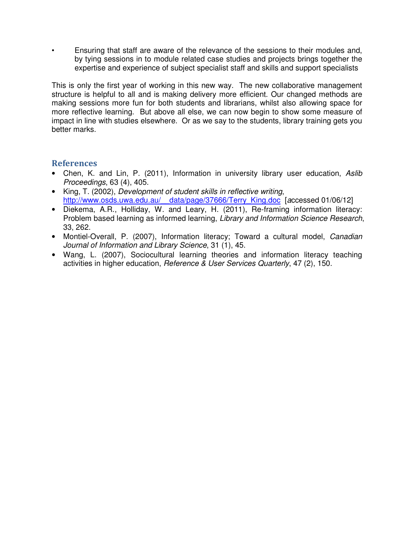• Ensuring that staff are aware of the relevance of the sessions to their modules and, by tying sessions in to module related case studies and projects brings together the expertise and experience of subject specialist staff and skills and support specialists

This is only the first year of working in this new way. The new collaborative management structure is helpful to all and is making delivery more efficient. Our changed methods are making sessions more fun for both students and librarians, whilst also allowing space for more reflective learning. But above all else, we can now begin to show some measure of impact in line with studies elsewhere. Or as we say to the students, library training gets you better marks.

# References

- Chen, K. and Lin, P. (2011), Information in university library user education, Aslib Proceedings, 63 (4), 405.
- King, T. (2002), Development of student skills in reflective writing, http://www.osds.uwa.edu.au/ data/page/37666/Terry King.doc [accessed 01/06/12]
- Diekema, A.R., Holliday, W. and Leary, H. (2011), Re-framing information literacy: Problem based learning as informed learning, Library and Information Science Research, 33, 262.
- Montiel-Overall, P. (2007), Information literacy; Toward a cultural model, Canadian Journal of Information and Library Science, 31 (1), 45.
- Wang, L. (2007), Sociocultural learning theories and information literacy teaching activities in higher education, Reference & User Services Quarterly, 47 (2), 150.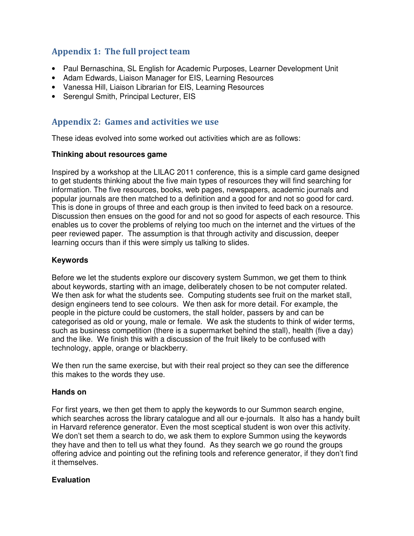# Appendix 1: The full project team

- Paul Bernaschina, SL English for Academic Purposes, Learner Development Unit
- Adam Edwards, Liaison Manager for EIS, Learning Resources
- Vanessa Hill, Liaison Librarian for EIS, Learning Resources
- Serengul Smith, Principal Lecturer, EIS

# Appendix 2: Games and activities we use

These ideas evolved into some worked out activities which are as follows:

## **Thinking about resources game**

Inspired by a workshop at the LILAC 2011 conference, this is a simple card game designed to get students thinking about the five main types of resources they will find searching for information. The five resources, books, web pages, newspapers, academic journals and popular journals are then matched to a definition and a good for and not so good for card. This is done in groups of three and each group is then invited to feed back on a resource. Discussion then ensues on the good for and not so good for aspects of each resource. This enables us to cover the problems of relying too much on the internet and the virtues of the peer reviewed paper. The assumption is that through activity and discussion, deeper learning occurs than if this were simply us talking to slides.

# **Keywords**

Before we let the students explore our discovery system Summon, we get them to think about keywords, starting with an image, deliberately chosen to be not computer related. We then ask for what the students see. Computing students see fruit on the market stall, design engineers tend to see colours. We then ask for more detail. For example, the people in the picture could be customers, the stall holder, passers by and can be categorised as old or young, male or female. We ask the students to think of wider terms, such as business competition (there is a supermarket behind the stall), health (five a day) and the like. We finish this with a discussion of the fruit likely to be confused with technology, apple, orange or blackberry.

We then run the same exercise, but with their real project so they can see the difference this makes to the words they use.

## **Hands on**

For first years, we then get them to apply the keywords to our Summon search engine, which searches across the library catalogue and all our e-journals. It also has a handy built in Harvard reference generator. Even the most sceptical student is won over this activity. We don't set them a search to do, we ask them to explore Summon using the keywords they have and then to tell us what they found. As they search we go round the groups offering advice and pointing out the refining tools and reference generator, if they don't find it themselves.

## **Evaluation**